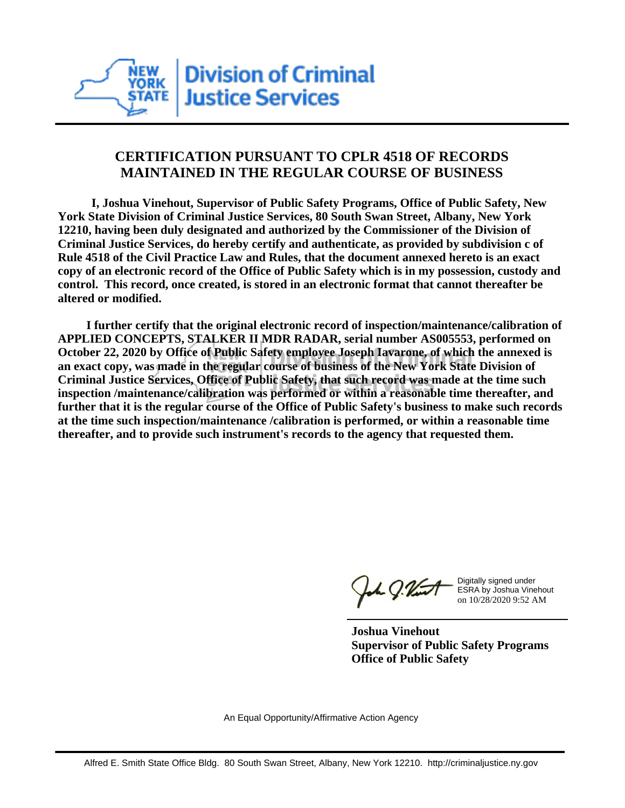

## **CERTIFICATION PURSUANT TO CPLR 4518 OF RECORDS MAINTAINED IN THE REGULAR COURSE OF BUSINESS**

 **I, Joshua Vinehout, Supervisor of Public Safety Programs, Office of Public Safety, New York State Division of Criminal Justice Services, 80 South Swan Street, Albany, New York 12210, having been duly designated and authorized by the Commissioner of the Division of Criminal Justice Services, do hereby certify and authenticate, as provided by subdivision c of Rule 4518 of the Civil Practice Law and Rules, that the document annexed hereto is an exact copy of an electronic record of the Office of Public Safety which is in my possession, custody and control. This record, once created, is stored in an electronic format that cannot thereafter be altered or modified.**

 **I further certify that the original electronic record of inspection/maintenance/calibration of APPLIED CONCEPTS, STALKER II MDR RADAR, serial number AS005553, performed on October 22, 2020 by Office of Public Safety employee Joseph Iavarone, of which the annexed is an exact copy, was made in the regular course of business of the New York State Division of Criminal Justice Services, Office of Public Safety, that such record was made at the time such inspection /maintenance/calibration was performed or within a reasonable time thereafter, and further that it is the regular course of the Office of Public Safety's business to make such records at the time such inspection/maintenance /calibration is performed, or within a reasonable time thereafter, and to provide such instrument's records to the agency that requested them.**

h J.Vint

Digitally signed under ESRA by Joshua Vinehout on 10/28/2020 9:52 AM

**Joshua Vinehout Supervisor of Public Safety Programs Office of Public Safety**

An Equal Opportunity/Affirmative Action Agency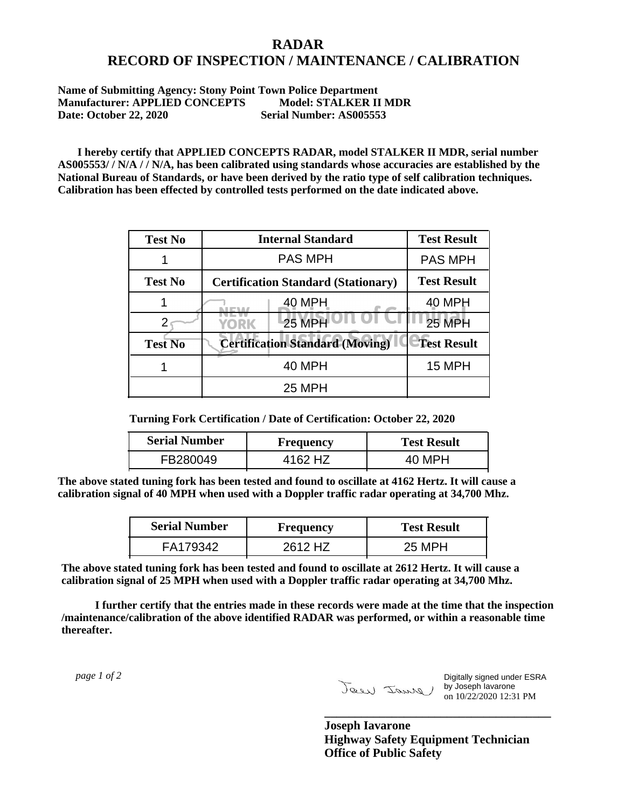## **RADAR RECORD OF INSPECTION / MAINTENANCE / CALIBRATION**

**Name of Submitting Agency: Stony Point Town Police Department Manufacturer: APPLIED CONCEPTS Model: STALKER II MDR Date: October 22, 2020 Serial Number: AS005553**

 **I hereby certify that APPLIED CONCEPTS RADAR, model STALKER II MDR, serial number AS005553/ / N/A / / N/A, has been calibrated using standards whose accuracies are established by the National Bureau of Standards, or have been derived by the ratio type of self calibration techniques. Calibration has been effected by controlled tests performed on the date indicated above.**

| <b>Test No</b> | <b>Internal Standard</b>                   | <b>Test Result</b> |
|----------------|--------------------------------------------|--------------------|
|                | <b>PAS MPH</b>                             | <b>PAS MPH</b>     |
| <b>Test No</b> | <b>Certification Standard (Stationary)</b> | <b>Test Result</b> |
|                | 40 MPH                                     | 40 MPH             |
|                | 25 MPH<br>YORK                             | <b>25 MPH</b>      |
| <b>Test No</b> | <b>Certification Standard (Moving)</b>     | <b>Test Result</b> |
|                | <b>40 MPH</b>                              | 15 MPH             |
|                | <b>25 MPH</b>                              |                    |

**Turning Fork Certification / Date of Certification: October 22, 2020**

| <b>Serial Number</b> | Frequency | <b>Test Result</b> |
|----------------------|-----------|--------------------|
| FB280049             | 162 H.Z   |                    |

**The above stated tuning fork has been tested and found to oscillate at 4162 Hertz. It will cause a calibration signal of 40 MPH when used with a Doppler traffic radar operating at 34,700 Mhz.**

| <b>Serial Number</b> | Frequency | <b>Test Result</b> |
|----------------------|-----------|--------------------|
| FA179342             | 2612 HZ   | 25 MPH             |

**The above stated tuning fork has been tested and found to oscillate at 2612 Hertz. It will cause a calibration signal of 25 MPH when used with a Doppler traffic radar operating at 34,700 Mhz.**

 **I further certify that the entries made in these records were made at the time that the inspection /maintenance/calibration of the above identified RADAR was performed, or within a reasonable time thereafter.**

 *page 1 of 2* 

Digitally signed under ESRA by Joseph Iavarone on 10/22/2020 12:31 PM

**Joseph Iavarone Highway Safety Equipment Technician Office of Public Safety**

**\_\_\_\_\_\_\_\_\_\_\_\_\_\_\_\_\_\_\_\_\_\_\_\_\_\_\_\_\_\_\_\_\_\_\_\_\_**